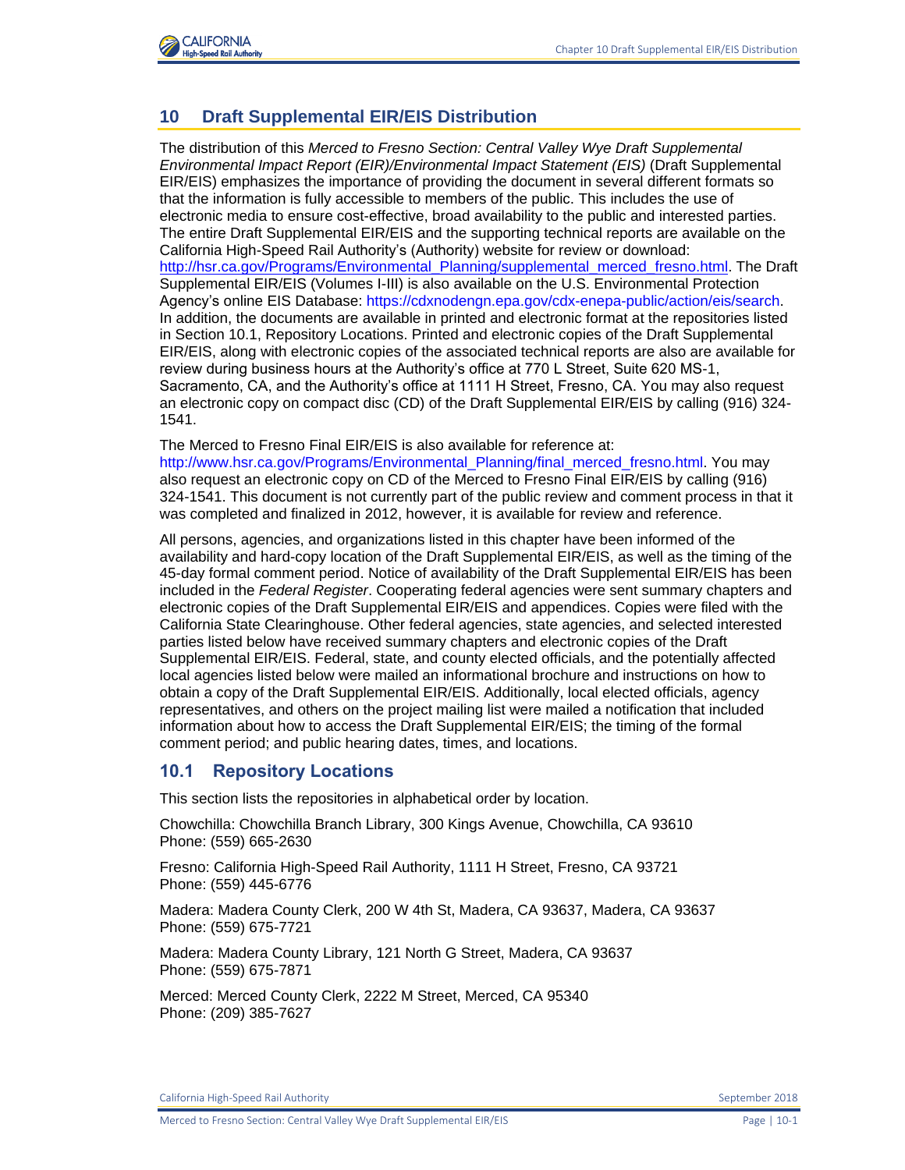

## **10 Draft Supplemental EIR/EIS Distribution**

The distribution of this *Merced to Fresno Section: Central Valley Wye Draft Supplemental Environmental Impact Report (EIR)/Environmental Impact Statement (EIS)* (Draft Supplemental EIR/EIS) emphasizes the importance of providing the document in several different formats so that the information is fully accessible to members of the public. This includes the use of electronic media to ensure cost-effective, broad availability to the public and interested parties. The entire Draft Supplemental EIR/EIS and the supporting technical reports are available on the California High-Speed Rail Authority's (Authority) website for review or download: [http://hsr.ca.gov/Programs/Environmental\\_Planning/supplemental\\_merced\\_fresno.html.](http://hsr.ca.gov/Programs/Environmental_Planning/supplemental_merced_fresno.html) The Draft Supplemental EIR/EIS (Volumes I-III) is also available on the U.S. Environmental Protection Agency's online EIS Database: [https://cdxnodengn.epa.gov/cdx-enepa-public/action/eis/search.](https://cdxnodengn.epa.gov/cdx-enepa-public/action/eis/search) In addition, the documents are available in printed and electronic format at the repositories listed in Section 10.1, Repository Locations. Printed and electronic copies of the Draft Supplemental EIR/EIS, along with electronic copies of the associated technical reports are also are available for review during business hours at the Authority's office at 770 L Street, Suite 620 MS-1, Sacramento, CA, and the Authority's office at 1111 H Street, Fresno, CA. You may also request an electronic copy on compact disc (CD) of the Draft Supplemental EIR/EIS by calling (916) 324- 1541.

The Merced to Fresno Final EIR/EIS is also available for reference at:

[http://www.hsr.ca.gov/Programs/Environmental\\_Planning/final\\_merced\\_fresno.html.](http://www.hsr.ca.gov/Programs/Environmental_Planning/final_merced_fresno.html) You may also request an electronic copy on CD of the Merced to Fresno Final EIR/EIS by calling (916) 324-1541. This document is not currently part of the public review and comment process in that it was completed and finalized in 2012, however, it is available for review and reference.

All persons, agencies, and organizations listed in this chapter have been informed of the availability and hard-copy location of the Draft Supplemental EIR/EIS, as well as the timing of the 45-day formal comment period. Notice of availability of the Draft Supplemental EIR/EIS has been included in the *Federal Register*. Cooperating federal agencies were sent summary chapters and electronic copies of the Draft Supplemental EIR/EIS and appendices. Copies were filed with the California State Clearinghouse. Other federal agencies, state agencies, and selected interested parties listed below have received summary chapters and electronic copies of the Draft Supplemental EIR/EIS. Federal, state, and county elected officials, and the potentially affected local agencies listed below were mailed an informational brochure and instructions on how to obtain a copy of the Draft Supplemental EIR/EIS. Additionally, local elected officials, agency representatives, and others on the project mailing list were mailed a notification that included information about how to access the Draft Supplemental EIR/EIS; the timing of the formal comment period; and public hearing dates, times, and locations.

## **10.1 Repository Locations**

This section lists the repositories in alphabetical order by location.

Chowchilla: Chowchilla Branch Library, 300 Kings Avenue, Chowchilla, CA 93610 Phone: (559) 665-2630

Fresno: California High-Speed Rail Authority, 1111 H Street, Fresno, CA 93721 Phone: (559) 445-6776

Madera: Madera County Clerk, 200 W 4th St, Madera, CA 93637, Madera, CA 93637 Phone: (559) 675-7721

Madera: Madera County Library, 121 North G Street, Madera, CA 93637 Phone: (559) 675-7871

Merced: Merced County Clerk, 2222 M Street, Merced, CA 95340 Phone: (209) 385-7627

California High-Speed Rail Authority **September 2018** September 2018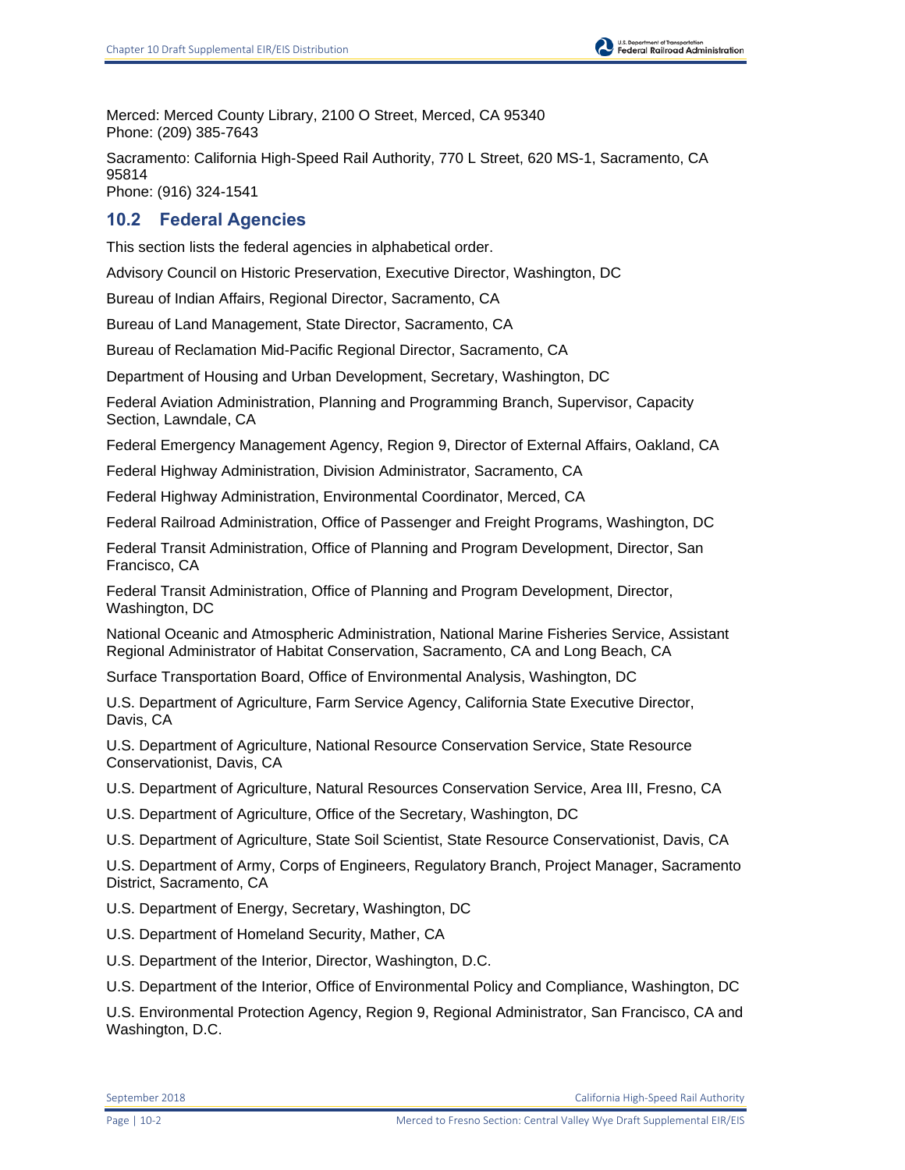U.S. Department of Transportation<br>Federal Railroad Administration

Merced: Merced County Library, 2100 O Street, Merced, CA 95340 Phone: (209) 385-7643

Sacramento: California High-Speed Rail Authority, 770 L Street, 620 MS-1, Sacramento, CA 95814 Phone: (916) 324-1541

## **10.2 Federal Agencies**

This section lists the federal agencies in alphabetical order.

Advisory Council on Historic Preservation, Executive Director, Washington, DC

Bureau of Indian Affairs, Regional Director, Sacramento, CA

Bureau of Land Management, State Director, Sacramento, CA

Bureau of Reclamation Mid-Pacific Regional Director, Sacramento, CA

Department of Housing and Urban Development, Secretary, Washington, DC

Federal Aviation Administration, Planning and Programming Branch, Supervisor, Capacity Section, Lawndale, CA

Federal Emergency Management Agency, Region 9, Director of External Affairs, Oakland, CA

Federal Highway Administration, Division Administrator, Sacramento, CA

Federal Highway Administration, Environmental Coordinator, Merced, CA

Federal Railroad Administration, Office of Passenger and Freight Programs, Washington, DC

Federal Transit Administration, Office of Planning and Program Development, Director, San Francisco, CA

Federal Transit Administration, Office of Planning and Program Development, Director, Washington, DC

National Oceanic and Atmospheric Administration, National Marine Fisheries Service, Assistant Regional Administrator of Habitat Conservation, Sacramento, CA and Long Beach, CA

Surface Transportation Board, Office of Environmental Analysis, Washington, DC

U.S. Department of Agriculture, Farm Service Agency, California State Executive Director, Davis, CA

U.S. Department of Agriculture, National Resource Conservation Service, State Resource Conservationist, Davis, CA

U.S. Department of Agriculture, Natural Resources Conservation Service, Area III, Fresno, CA

U.S. Department of Agriculture, Office of the Secretary, Washington, DC

U.S. Department of Agriculture, State Soil Scientist, State Resource Conservationist, Davis, CA

U.S. Department of Army, Corps of Engineers, Regulatory Branch, Project Manager, Sacramento District, Sacramento, CA

U.S. Department of Energy, Secretary, Washington, DC

U.S. Department of Homeland Security, Mather, CA

U.S. Department of the Interior, Director, Washington, D.C.

U.S. Department of the Interior, Office of Environmental Policy and Compliance, Washington, DC

U.S. Environmental Protection Agency, Region 9, Regional Administrator, San Francisco, CA and Washington, D.C.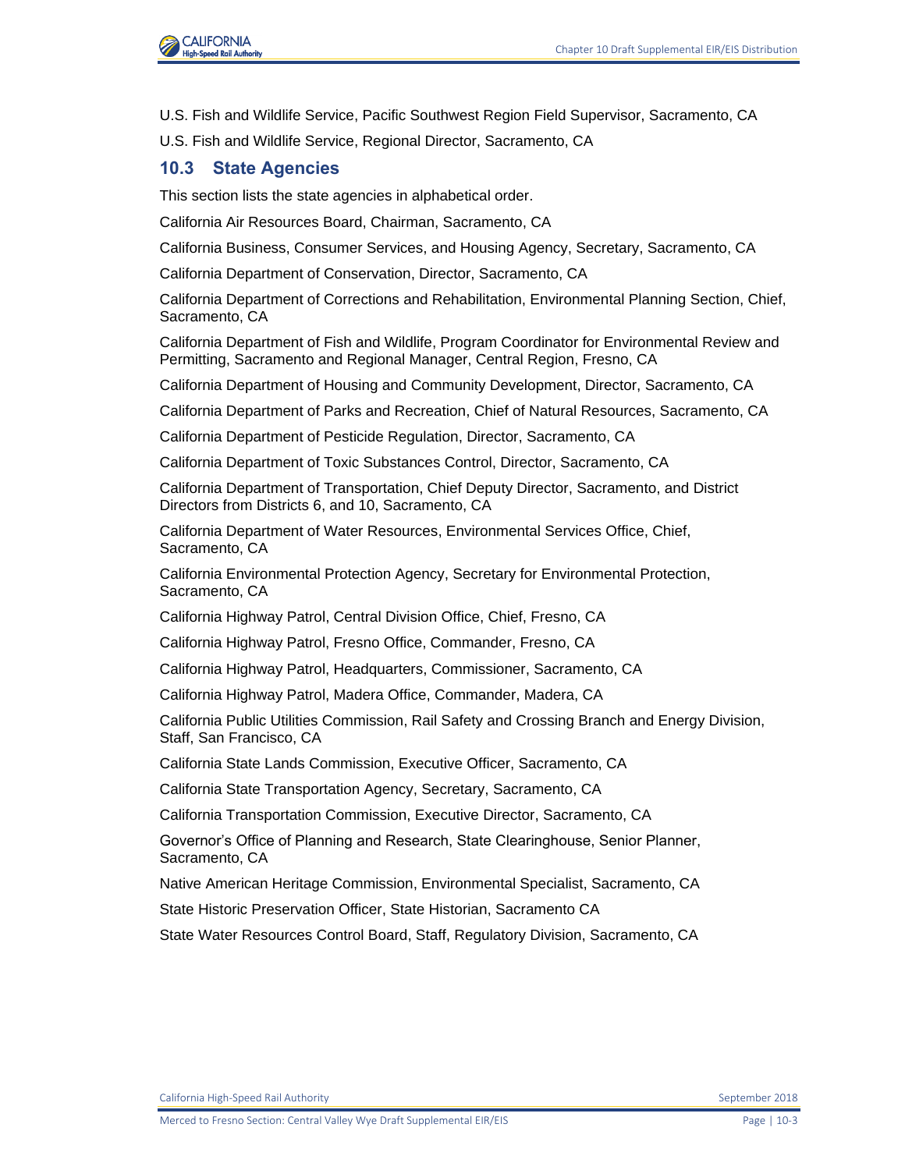

- U.S. Fish and Wildlife Service, Pacific Southwest Region Field Supervisor, Sacramento, CA
- U.S. Fish and Wildlife Service, Regional Director, Sacramento, CA

#### **10.3 State Agencies**

This section lists the state agencies in alphabetical order.

California Air Resources Board, Chairman, Sacramento, CA

California Business, Consumer Services, and Housing Agency, Secretary, Sacramento, CA

California Department of Conservation, Director, Sacramento, CA

California Department of Corrections and Rehabilitation, Environmental Planning Section, Chief, Sacramento, CA

California Department of Fish and Wildlife, Program Coordinator for Environmental Review and Permitting, Sacramento and Regional Manager, Central Region, Fresno, CA

California Department of Housing and Community Development, Director, Sacramento, CA

California Department of Parks and Recreation, Chief of Natural Resources, Sacramento, CA

California Department of Pesticide Regulation, Director, Sacramento, CA

California Department of Toxic Substances Control, Director, Sacramento, CA

California Department of Transportation, Chief Deputy Director, Sacramento, and District Directors from Districts 6, and 10, Sacramento, CA

California Department of Water Resources, Environmental Services Office, Chief, Sacramento, CA

California Environmental Protection Agency, Secretary for Environmental Protection, Sacramento, CA

California Highway Patrol, Central Division Office, Chief, Fresno, CA

California Highway Patrol, Fresno Office, Commander, Fresno, CA

California Highway Patrol, Headquarters, Commissioner, Sacramento, CA

California Highway Patrol, Madera Office, Commander, Madera, CA

California Public Utilities Commission, Rail Safety and Crossing Branch and Energy Division, Staff, San Francisco, CA

California State Lands Commission, Executive Officer, Sacramento, CA

California State Transportation Agency, Secretary, Sacramento, CA

California Transportation Commission, Executive Director, Sacramento, CA

Governor's Office of Planning and Research, State Clearinghouse, Senior Planner, Sacramento, CA

Native American Heritage Commission, Environmental Specialist, Sacramento, CA

State Historic Preservation Officer, State Historian, Sacramento CA

State Water Resources Control Board, Staff, Regulatory Division, Sacramento, CA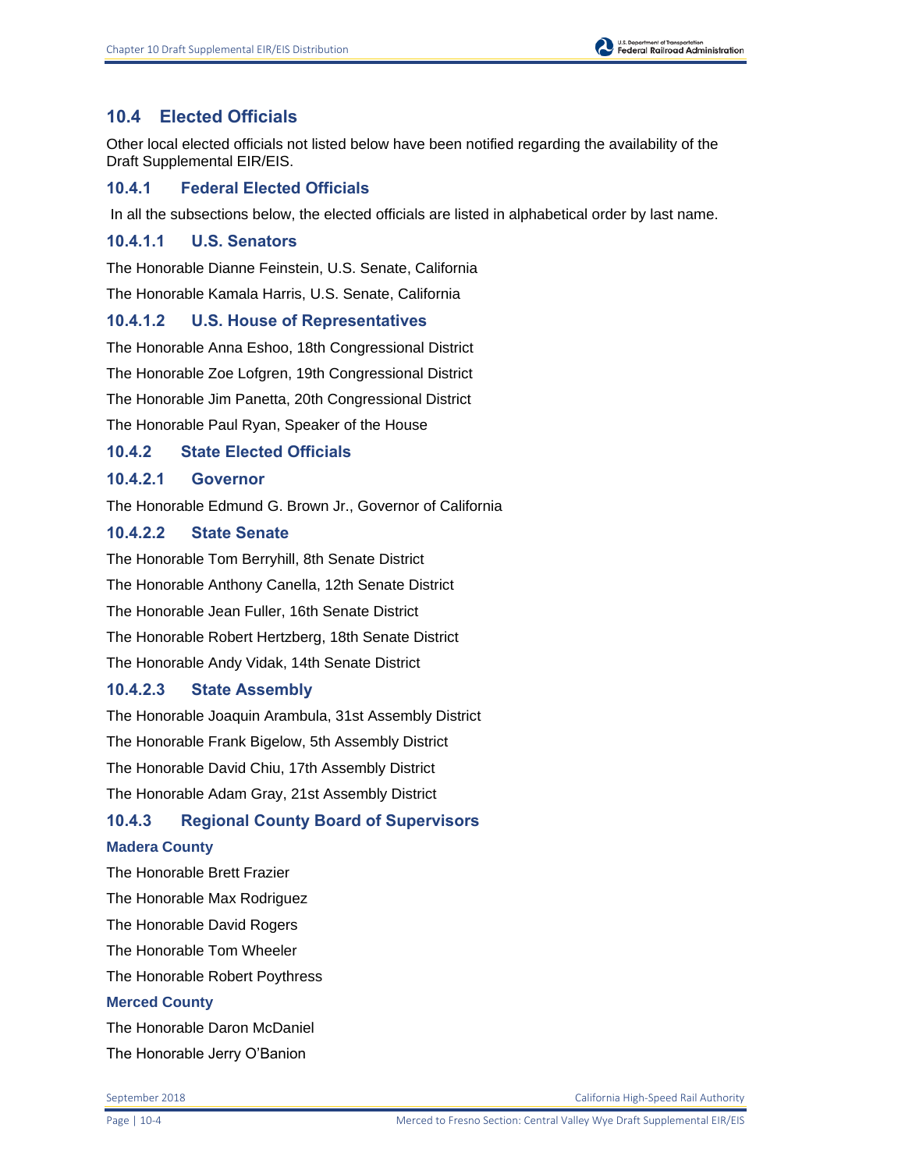## **10.4 Elected Officials**

Other local elected officials not listed below have been notified regarding the availability of the Draft Supplemental EIR/EIS.

## **10.4.1 Federal Elected Officials**

In all the subsections below, the elected officials are listed in alphabetical order by last name.

## **10.4.1.1 U.S. Senators**

The Honorable Dianne Feinstein, U.S. Senate, California

The Honorable Kamala Harris, U.S. Senate, California

## **10.4.1.2 U.S. House of Representatives**

The Honorable Anna Eshoo, 18th Congressional District

The Honorable Zoe Lofgren, 19th Congressional District

The Honorable Jim Panetta, 20th Congressional District

The Honorable Paul Ryan, Speaker of the House

## **10.4.2 State Elected Officials**

## **10.4.2.1 Governor**

The Honorable Edmund G. Brown Jr., Governor of California

## **10.4.2.2 State Senate**

The Honorable Tom Berryhill, 8th Senate District The Honorable Anthony Canella, 12th Senate District The Honorable Jean Fuller, 16th Senate District The Honorable Robert Hertzberg, 18th Senate District The Honorable Andy Vidak, 14th Senate District

## **10.4.2.3 State Assembly**

The Honorable Joaquin Arambula, 31st Assembly District The Honorable Frank Bigelow, 5th Assembly District The Honorable David Chiu, 17th Assembly District The Honorable Adam Gray, 21st Assembly District

# **10.4.3 Regional County Board of Supervisors**

#### **Madera County**

The Honorable Brett Frazier The Honorable Max Rodriguez The Honorable David Rogers The Honorable Tom Wheeler The Honorable Robert Poythress **Merced County** The Honorable Daron McDaniel

The Honorable Jerry O'Banion

September 2018 California High-Speed Rail Authority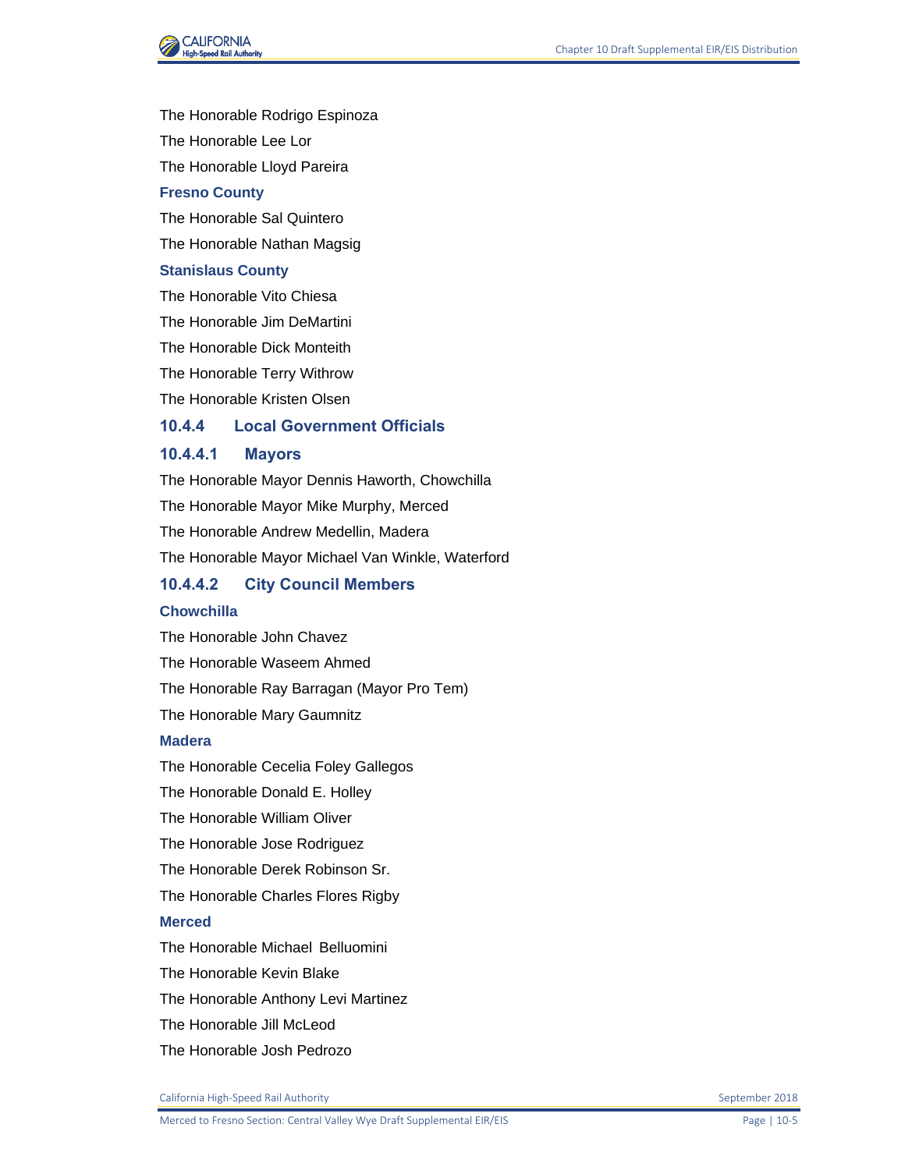

The Honorable Rodrigo Espinoza The Honorable Lee Lor The Honorable Lloyd Pareira **Fresno County** The Honorable Sal Quintero The Honorable Nathan Magsig

#### **Stanislaus County**

The Honorable Vito Chiesa

The Honorable Jim DeMartini

The Honorable Dick Monteith

The Honorable Terry Withrow

The Honorable Kristen Olsen

## **10.4.4 Local Government Officials**

## **10.4.4.1 Mayors**

The Honorable Mayor Dennis Haworth, Chowchilla The Honorable Mayor Mike Murphy, Merced The Honorable Andrew Medellin, Madera The Honorable Mayor Michael Van Winkle, Waterford

## **10.4.4.2 City Council Members**

#### **Chowchilla**

The Honorable John Chavez The Honorable Waseem Ahmed The Honorable Ray Barragan (Mayor Pro Tem) The Honorable Mary Gaumnitz

#### **Madera**

The Honorable Cecelia Foley Gallegos The Honorable Donald E. Holley The Honorable William Oliver The Honorable Jose Rodriguez The Honorable Derek Robinson Sr. The Honorable Charles Flores Rigby **Merced** The Honorable Michael Belluomini The Honorable Kevin Blake

The Honorable Anthony Levi Martinez

- The Honorable Jill McLeod
- The Honorable Josh Pedrozo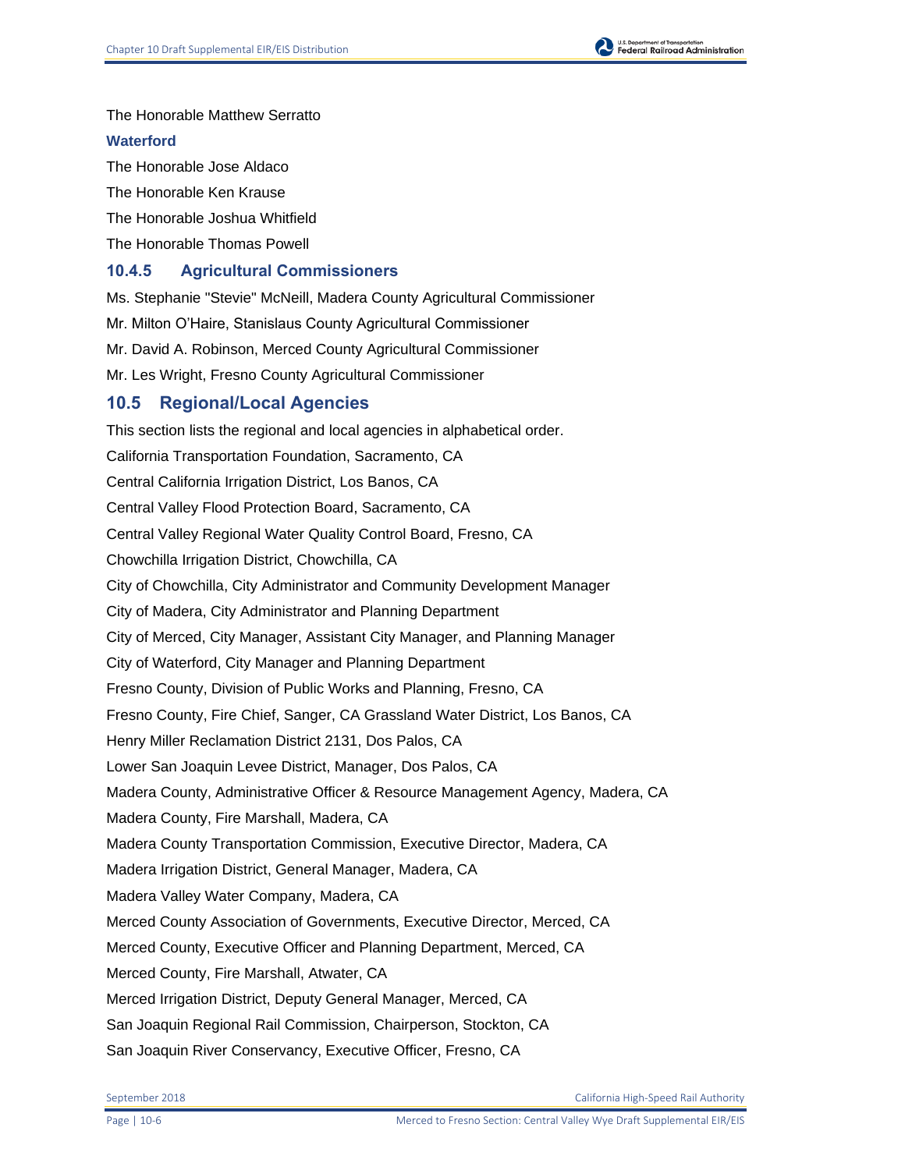

#### **Waterford**

The Honorable Jose Aldaco The Honorable Ken Krause The Honorable Joshua Whitfield The Honorable Thomas Powell

## **10.4.5 Agricultural Commissioners**

Ms. Stephanie "Stevie" McNeill, Madera County Agricultural Commissioner Mr. Milton O'Haire, Stanislaus County Agricultural Commissioner Mr. David A. Robinson, Merced County Agricultural Commissioner Mr. Les Wright, Fresno County Agricultural Commissioner **10.5 Regional/Local Agencies**

# This section lists the regional and local agencies in alphabetical order. California Transportation Foundation, Sacramento, CA Central California Irrigation District, Los Banos, CA Central Valley Flood Protection Board, Sacramento, CA Central Valley Regional Water Quality Control Board, Fresno, CA Chowchilla Irrigation District, Chowchilla, CA City of Chowchilla, City Administrator and Community Development Manager City of Madera, City Administrator and Planning Department City of Merced, City Manager, Assistant City Manager, and Planning Manager City of Waterford, City Manager and Planning Department Fresno County, Division of Public Works and Planning, Fresno, CA Fresno County, Fire Chief, Sanger, CA Grassland Water District, Los Banos, CA Henry Miller Reclamation District 2131, Dos Palos, CA Lower San Joaquin Levee District, Manager, Dos Palos, CA Madera County, Administrative Officer & Resource Management Agency, Madera, CA Madera County, Fire Marshall, Madera, CA Madera County Transportation Commission, Executive Director, Madera, CA Madera Irrigation District, General Manager, Madera, CA Madera Valley Water Company, Madera, CA Merced County Association of Governments, Executive Director, Merced, CA Merced County, Executive Officer and Planning Department, Merced, CA Merced County, Fire Marshall, Atwater, CA Merced Irrigation District, Deputy General Manager, Merced, CA San Joaquin Regional Rail Commission, Chairperson, Stockton, CA San Joaquin River Conservancy, Executive Officer, Fresno, CA

September 2018 California High-Speed Rail Authority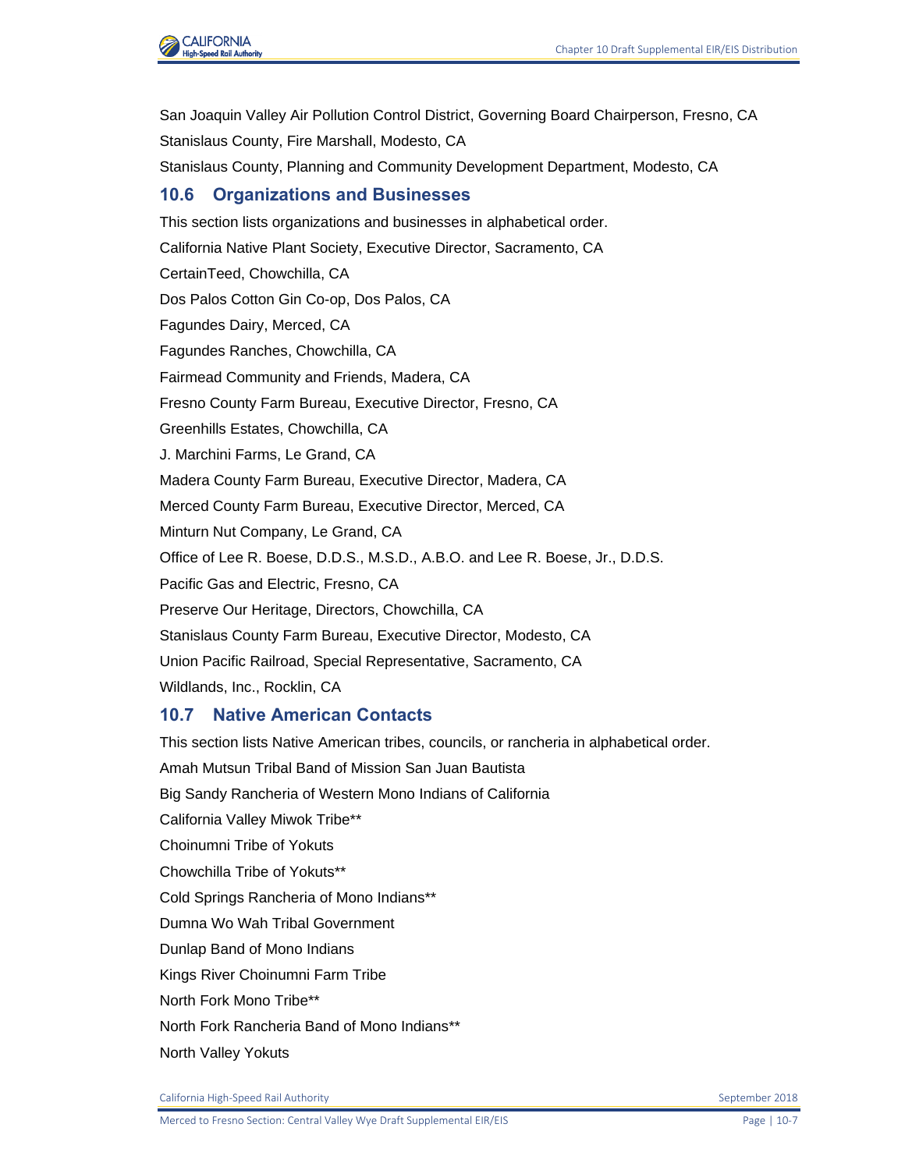

San Joaquin Valley Air Pollution Control District, Governing Board Chairperson, Fresno, CA Stanislaus County, Fire Marshall, Modesto, CA Stanislaus County, Planning and Community Development Department, Modesto, CA **10.6 Organizations and Businesses** This section lists organizations and businesses in alphabetical order. California Native Plant Society, Executive Director, Sacramento, CA CertainTeed, Chowchilla, CA Dos Palos Cotton Gin Co-op, Dos Palos, CA Fagundes Dairy, Merced, CA Fagundes Ranches, Chowchilla, CA Fairmead Community and Friends, Madera, CA Fresno County Farm Bureau, Executive Director, Fresno, CA Greenhills Estates, Chowchilla, CA J. Marchini Farms, Le Grand, CA Madera County Farm Bureau, Executive Director, Madera, CA Merced County Farm Bureau, Executive Director, Merced, CA Minturn Nut Company, Le Grand, CA Office of Lee R. Boese, D.D.S., M.S.D., A.B.O. and Lee R. Boese, Jr., D.D.S. Pacific Gas and Electric, Fresno, CA Preserve Our Heritage, Directors, Chowchilla, CA Stanislaus County Farm Bureau, Executive Director, Modesto, CA Union Pacific Railroad, Special Representative, Sacramento, CA Wildlands, Inc., Rocklin, CA

## **10.7 Native American Contacts**

This section lists Native American tribes, councils, or rancheria in alphabetical order. Amah Mutsun Tribal Band of Mission San Juan Bautista Big Sandy Rancheria of Western Mono Indians of California California Valley Miwok Tribe\*\* Choinumni Tribe of Yokuts Chowchilla Tribe of Yokuts\*\* Cold Springs Rancheria of Mono Indians\*\* Dumna Wo Wah Tribal Government Dunlap Band of Mono Indians Kings River Choinumni Farm Tribe North Fork Mono Tribe\*\* North Fork Rancheria Band of Mono Indians\*\* North Valley Yokuts

California High-Speed Rail Authority September 2018